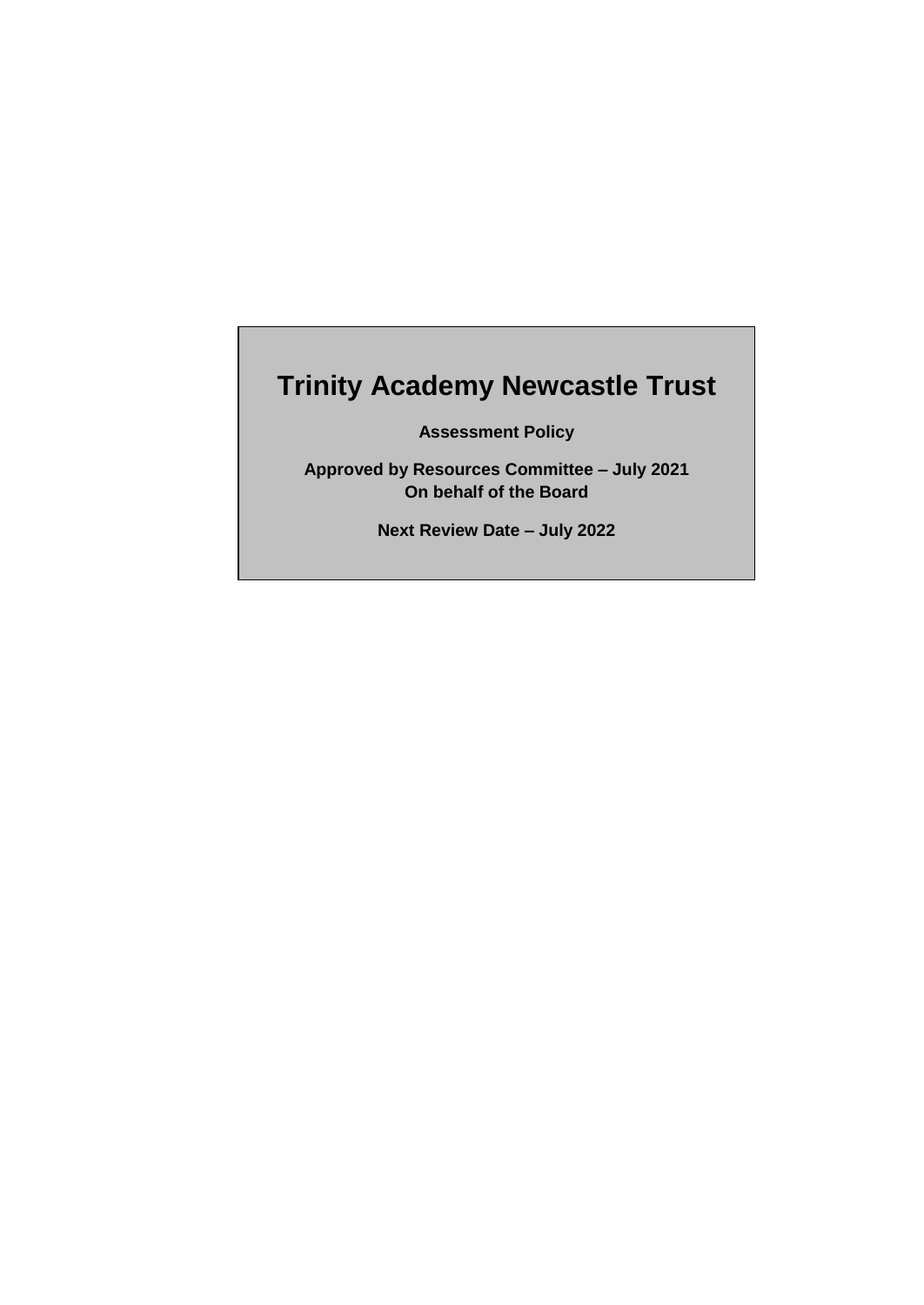# **Trinity Academy Newcastle Trust**

**Assessment Policy**

**Approved by Resources Committee – July 2021 On behalf of the Board**

**Next Review Date – July 2022**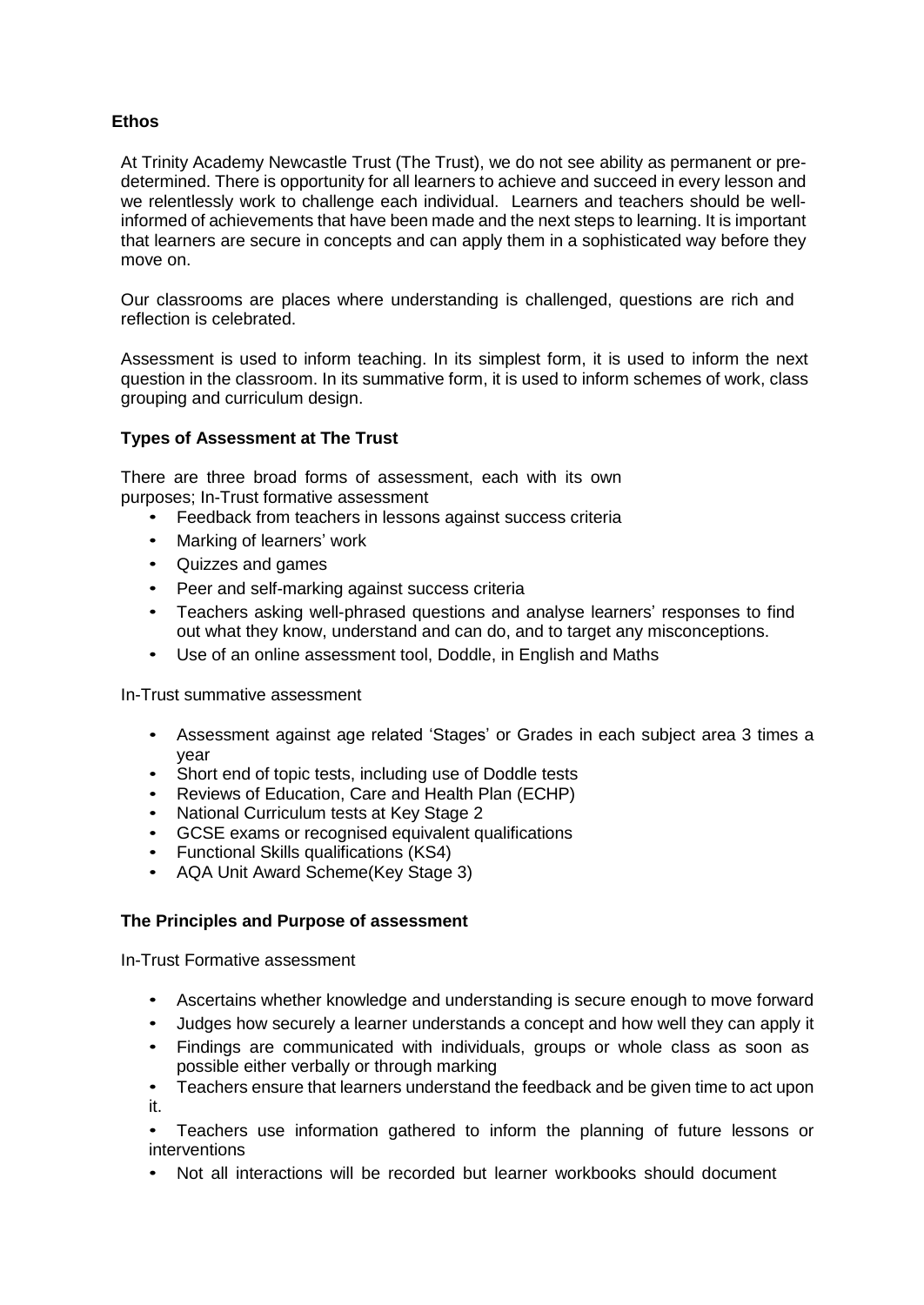# **Ethos**

At Trinity Academy Newcastle Trust (The Trust), we do not see ability as permanent or predetermined. There is opportunity for all learners to achieve and succeed in every lesson and we relentlessly work to challenge each individual. Learners and teachers should be wellinformed of achievements that have been made and the next steps to learning. It is important that learners are secure in concepts and can apply them in a sophisticated way before they move on.

Our classrooms are places where understanding is challenged, questions are rich and reflection is celebrated.

Assessment is used to inform teaching. In its simplest form, it is used to inform the next question in the classroom. In its summative form, it is used to inform schemes of work, class grouping and curriculum design.

## **Types of Assessment at The Trust**

There are three broad forms of assessment, each with its own purposes; In-Trust formative assessment

- Feedback from teachers in lessons against success criteria
- Marking of learners' work
- Quizzes and games
- Peer and self-marking against success criteria
- Teachers asking well-phrased questions and analyse learners' responses to find out what they know, understand and can do, and to target any misconceptions.
- Use of an online assessment tool, Doddle, in English and Maths

In-Trust summative assessment

- Assessment against age related 'Stages' or Grades in each subject area 3 times a year
- Short end of topic tests, including use of Doddle tests
- Reviews of Education, Care and Health Plan (ECHP)
- National Curriculum tests at Key Stage 2
- GCSE exams or recognised equivalent qualifications
- Functional Skills qualifications (KS4)
- AQA Unit Award Scheme(Key Stage 3)

# **The Principles and Purpose of assessment**

In-Trust Formative assessment

- Ascertains whether knowledge and understanding is secure enough to move forward
- Judges how securely a learner understands a concept and how well they can apply it
- Findings are communicated with individuals, groups or whole class as soon as possible either verbally or through marking
- Teachers ensure that learners understand the feedback and be given time to act upon it.
- Teachers use information gathered to inform the planning of future lessons or **interventions**
- Not all interactions will be recorded but learner workbooks should document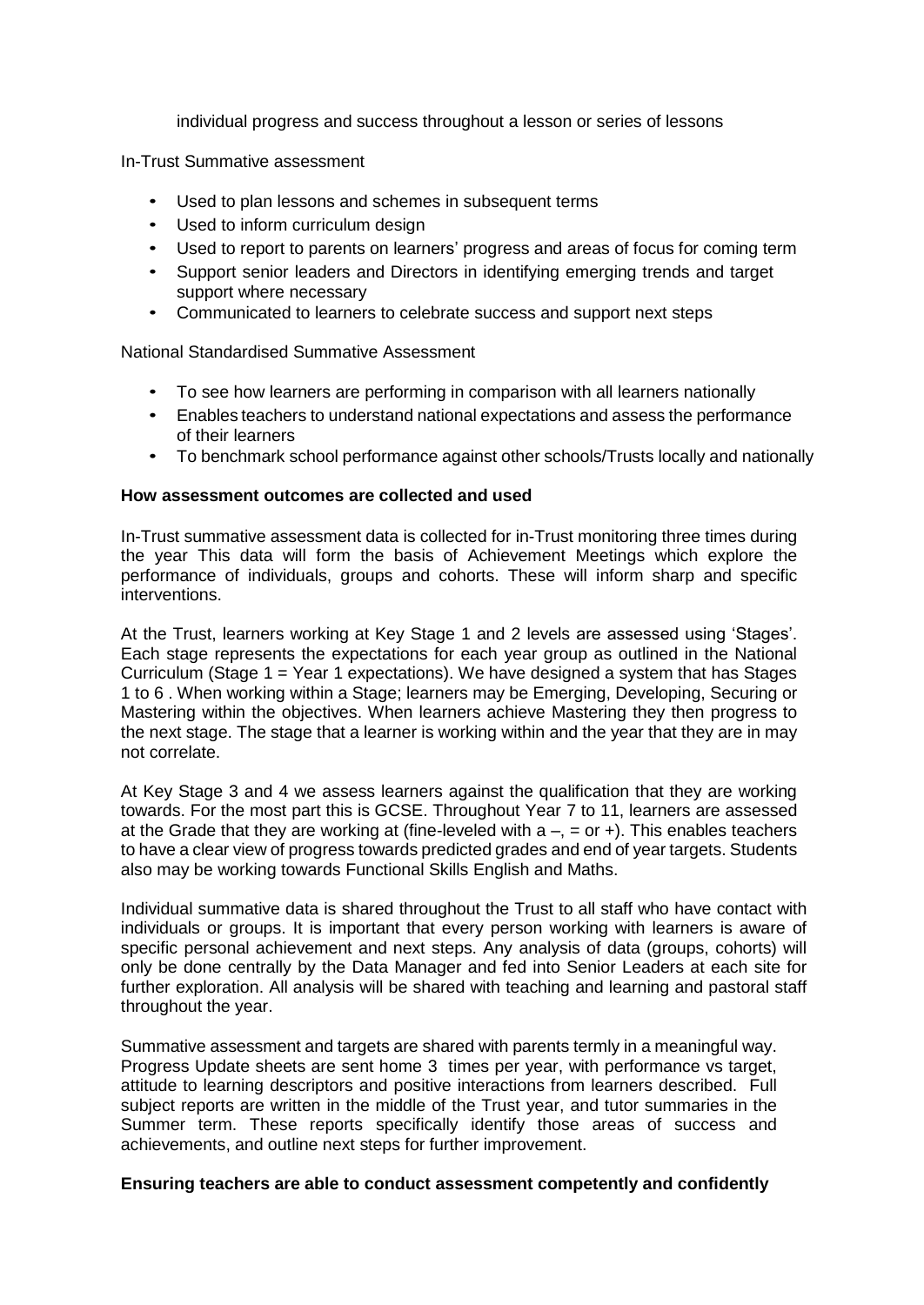individual progress and success throughout a lesson or series of lessons

In-Trust Summative assessment

- Used to plan lessons and schemes in subsequent terms
- Used to inform curriculum design
- Used to report to parents on learners' progress and areas of focus for coming term
- Support senior leaders and Directors in identifying emerging trends and target support where necessary
- Communicated to learners to celebrate success and support next steps

National Standardised Summative Assessment

- To see how learners are performing in comparison with all learners nationally
- Enables teachers to understand national expectations and assess the performance of their learners
- To benchmark school performance against other schools/Trusts locally and nationally

## **How assessment outcomes are collected and used**

In-Trust summative assessment data is collected for in-Trust monitoring three times during the year This data will form the basis of Achievement Meetings which explore the performance of individuals, groups and cohorts. These will inform sharp and specific interventions.

At the Trust, learners working at Key Stage 1 and 2 levels are assessed using 'Stages'. Each stage represents the expectations for each year group as outlined in the National Curriculum (Stage 1 = Year 1 expectations). We have designed a system that has Stages 1 to 6 . When working within a Stage; learners may be Emerging, Developing, Securing or Mastering within the objectives. When learners achieve Mastering they then progress to the next stage. The stage that a learner is working within and the year that they are in may not correlate.

At Key Stage 3 and 4 we assess learners against the qualification that they are working towards. For the most part this is GCSE. Throughout Year 7 to 11, learners are assessed at the Grade that they are working at (fine-leveled with  $a - 0 = 0$  and  $\epsilon$ ). This enables teachers to have a clear view of progress towards predicted grades and end of year targets. Students also may be working towards Functional Skills English and Maths.

Individual summative data is shared throughout the Trust to all staff who have contact with individuals or groups. It is important that every person working with learners is aware of specific personal achievement and next steps. Any analysis of data (groups, cohorts) will only be done centrally by the Data Manager and fed into Senior Leaders at each site for further exploration. All analysis will be shared with teaching and learning and pastoral staff throughout the year.

Summative assessment and targets are shared with parents termly in a meaningful way. Progress Update sheets are sent home 3 times per year, with performance vs target, attitude to learning descriptors and positive interactions from learners described. Full subject reports are written in the middle of the Trust year, and tutor summaries in the Summer term. These reports specifically identify those areas of success and achievements, and outline next steps for further improvement.

#### **Ensuring teachers are able to conduct assessment competently and confidently**